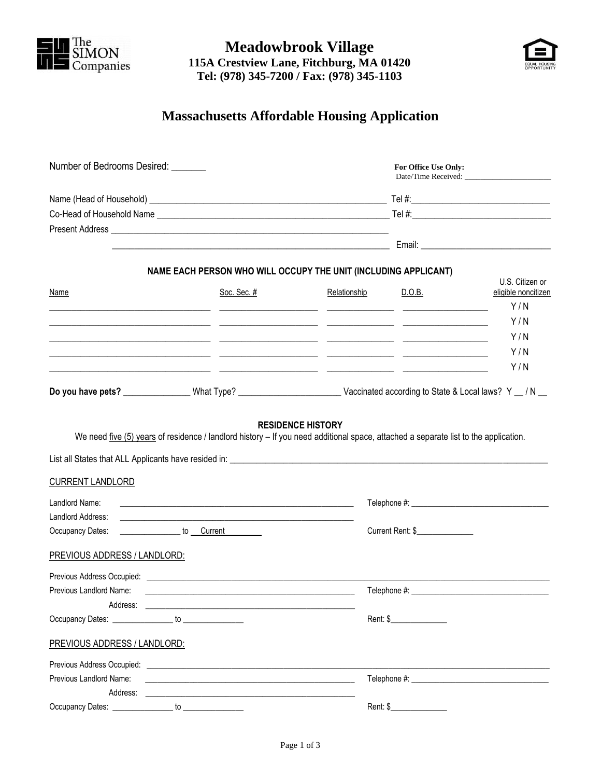

**Meadowbrook Village 115A Crestview Lane, Fitchburg, MA 01420 Tel: (978) 345-7200 / Fax: (978) 345-1103**



## **Massachusetts Affordable Housing Application**

| Number of Bedrooms Desired: _______                                                                                                                                                                                            |                                                                                                                                                                                                                                |                                                                      | For Office Use Only:<br>Date/Time Received: |                                        |
|--------------------------------------------------------------------------------------------------------------------------------------------------------------------------------------------------------------------------------|--------------------------------------------------------------------------------------------------------------------------------------------------------------------------------------------------------------------------------|----------------------------------------------------------------------|---------------------------------------------|----------------------------------------|
|                                                                                                                                                                                                                                |                                                                                                                                                                                                                                |                                                                      |                                             |                                        |
|                                                                                                                                                                                                                                |                                                                                                                                                                                                                                |                                                                      |                                             |                                        |
|                                                                                                                                                                                                                                |                                                                                                                                                                                                                                |                                                                      |                                             |                                        |
|                                                                                                                                                                                                                                |                                                                                                                                                                                                                                |                                                                      |                                             |                                        |
|                                                                                                                                                                                                                                | NAME EACH PERSON WHO WILL OCCUPY THE UNIT (INCLUDING APPLICANT)                                                                                                                                                                |                                                                      |                                             |                                        |
| Name                                                                                                                                                                                                                           | Soc. Sec. #                                                                                                                                                                                                                    | Relationship                                                         | D.O.B.                                      | U.S. Citizen or<br>eligible noncitizen |
|                                                                                                                                                                                                                                |                                                                                                                                                                                                                                | <u> 1980 - Jan James James, maritan amerikan personal (h. 1980).</u> |                                             | Y/N                                    |
|                                                                                                                                                                                                                                |                                                                                                                                                                                                                                |                                                                      |                                             | Y/N                                    |
|                                                                                                                                                                                                                                |                                                                                                                                                                                                                                |                                                                      |                                             | Y/N                                    |
|                                                                                                                                                                                                                                | <u> 2000 - 2000 - 2000 - 2000 - 2000 - 2000 - 2000 - 2000 - 2000 - 2000 - 2000 - 2000 - 2000 - 2000 - 2000 - 200</u>                                                                                                           |                                                                      |                                             | Y/N                                    |
|                                                                                                                                                                                                                                |                                                                                                                                                                                                                                |                                                                      |                                             | Y/N                                    |
| <b>CURRENT LANDLORD</b><br>Landlord Name:                                                                                                                                                                                      | We need five $(5)$ years of residence / landlord history $-$ If you need additional space, attached a separate list to the application.                                                                                        | <b>RESIDENCE HISTORY</b>                                             |                                             |                                        |
| Landlord Address:                                                                                                                                                                                                              | and the control of the control of the control of the control of the control of the control of the control of the                                                                                                               |                                                                      |                                             |                                        |
| Occupancy Dates:                                                                                                                                                                                                               | <u>contract to Current</u> contract to Current                                                                                                                                                                                 |                                                                      | Current Rent: \$                            |                                        |
| <b>PREVIOUS ADDRESS / LANDLORD:</b>                                                                                                                                                                                            | Previous Address Occupied: Network and Security and Security and Security and Security and Security and Security and Security and Security and Security and Security and Security and Security and Security and Security and S |                                                                      |                                             |                                        |
| Previous Landlord Name:                                                                                                                                                                                                        |                                                                                                                                                                                                                                |                                                                      |                                             |                                        |
| Address:                                                                                                                                                                                                                       |                                                                                                                                                                                                                                |                                                                      |                                             |                                        |
|                                                                                                                                                                                                                                |                                                                                                                                                                                                                                |                                                                      | Rent: \$                                    |                                        |
| <b>PREVIOUS ADDRESS / LANDLORD:</b>                                                                                                                                                                                            |                                                                                                                                                                                                                                |                                                                      |                                             |                                        |
|                                                                                                                                                                                                                                |                                                                                                                                                                                                                                |                                                                      |                                             |                                        |
| Previous Landlord Name:                                                                                                                                                                                                        |                                                                                                                                                                                                                                |                                                                      |                                             |                                        |
| Address:                                                                                                                                                                                                                       |                                                                                                                                                                                                                                |                                                                      |                                             |                                        |
| Occupancy Dates: New York Contract of the Contract of the Contract of the Contract of the Contract of the Contract of the Contract of the Contract of the Contract of the Contract of the Contract of the Contract of the Cont | to $\overline{\phantom{a}}$                                                                                                                                                                                                    | Rent: \$                                                             |                                             |                                        |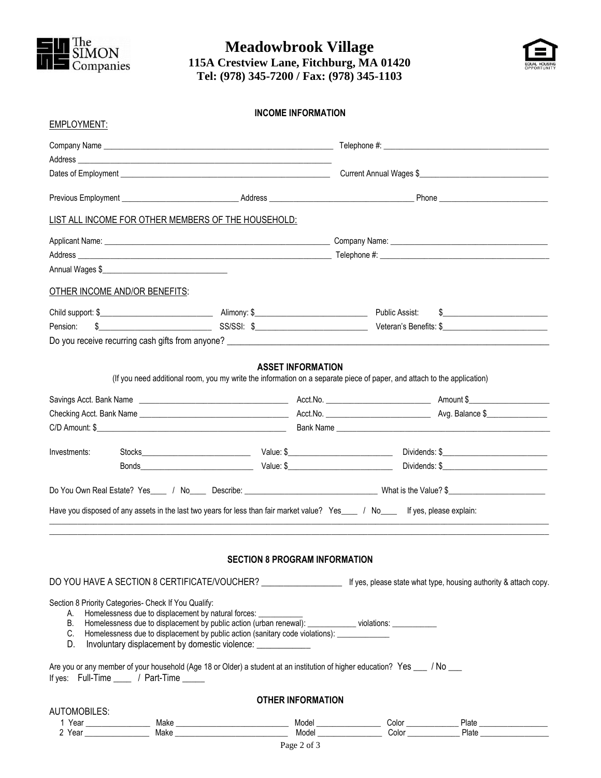

**Meadowbrook Village 115A Crestview Lane, Fitchburg, MA 01420 Tel: (978) 345-7200 / Fax: (978) 345-1103**



|              |                                                      |                                                                                                                                                                                | <b>INCOME INFORMATION</b>            |                |                                                                                                                                                                                                                                     |  |
|--------------|------------------------------------------------------|--------------------------------------------------------------------------------------------------------------------------------------------------------------------------------|--------------------------------------|----------------|-------------------------------------------------------------------------------------------------------------------------------------------------------------------------------------------------------------------------------------|--|
| EMPLOYMENT:  |                                                      |                                                                                                                                                                                |                                      |                |                                                                                                                                                                                                                                     |  |
|              |                                                      |                                                                                                                                                                                |                                      |                |                                                                                                                                                                                                                                     |  |
|              |                                                      |                                                                                                                                                                                |                                      |                |                                                                                                                                                                                                                                     |  |
|              |                                                      |                                                                                                                                                                                |                                      |                |                                                                                                                                                                                                                                     |  |
|              |                                                      |                                                                                                                                                                                |                                      |                |                                                                                                                                                                                                                                     |  |
|              |                                                      | LIST ALL INCOME FOR OTHER MEMBERS OF THE HOUSEHOLD:                                                                                                                            |                                      |                |                                                                                                                                                                                                                                     |  |
|              |                                                      |                                                                                                                                                                                |                                      |                |                                                                                                                                                                                                                                     |  |
|              | Annual Wages \$                                      |                                                                                                                                                                                |                                      |                |                                                                                                                                                                                                                                     |  |
|              |                                                      |                                                                                                                                                                                |                                      |                |                                                                                                                                                                                                                                     |  |
|              | OTHER INCOME AND/OR BENEFITS:                        |                                                                                                                                                                                |                                      |                |                                                                                                                                                                                                                                     |  |
|              |                                                      |                                                                                                                                                                                |                                      | Public Assist: | $\frac{1}{2}$                                                                                                                                                                                                                       |  |
| Pension:     |                                                      |                                                                                                                                                                                |                                      |                |                                                                                                                                                                                                                                     |  |
|              |                                                      |                                                                                                                                                                                |                                      |                |                                                                                                                                                                                                                                     |  |
|              |                                                      | (If you need additional room, you my write the information on a separate piece of paper, and attach to the application)                                                        | <b>ASSET INFORMATION</b>             |                |                                                                                                                                                                                                                                     |  |
|              |                                                      |                                                                                                                                                                                |                                      |                |                                                                                                                                                                                                                                     |  |
|              |                                                      |                                                                                                                                                                                |                                      |                |                                                                                                                                                                                                                                     |  |
|              |                                                      |                                                                                                                                                                                |                                      |                |                                                                                                                                                                                                                                     |  |
| Investments: |                                                      |                                                                                                                                                                                |                                      |                |                                                                                                                                                                                                                                     |  |
|              |                                                      |                                                                                                                                                                                |                                      |                | Bonds <b>Example 2018</b> Contract Contract Contract Contract Contract Contract Contract Contract Contract Contract Contract Contract Contract Contract Contract Contract Contract Contract Contract Contract Contract Contract Con |  |
|              |                                                      |                                                                                                                                                                                |                                      |                |                                                                                                                                                                                                                                     |  |
|              |                                                      | Have you disposed of any assets in the last two years for less than fair market value? Yes ___ / No___ If yes, please explain:                                                 |                                      |                |                                                                                                                                                                                                                                     |  |
|              |                                                      |                                                                                                                                                                                |                                      |                |                                                                                                                                                                                                                                     |  |
|              |                                                      |                                                                                                                                                                                |                                      |                |                                                                                                                                                                                                                                     |  |
|              |                                                      |                                                                                                                                                                                | <b>SECTION 8 PROGRAM INFORMATION</b> |                |                                                                                                                                                                                                                                     |  |
|              |                                                      |                                                                                                                                                                                |                                      |                | DO YOU HAVE A SECTION 8 CERTIFICATE/VOUCHER? _______________________ If yes, please state what type, housing authority & attach copy.                                                                                               |  |
|              | Section 8 Priority Categories- Check If You Qualify: |                                                                                                                                                                                |                                      |                |                                                                                                                                                                                                                                     |  |
| B.           |                                                      | A. Homelessness due to displacement by natural forces: ___________<br>Homelessness due to displacement by public action (urban renewal): ____________ violations: ____________ |                                      |                |                                                                                                                                                                                                                                     |  |
| C.           |                                                      | Homelessness due to displacement by public action (sanitary code violations): _____________                                                                                    |                                      |                |                                                                                                                                                                                                                                     |  |
| D.           |                                                      | Involuntary displacement by domestic violence:                                                                                                                                 |                                      |                |                                                                                                                                                                                                                                     |  |
|              | If yes: Full-Time ____ / Part-Time ____              | Are you or any member of your household (Age 18 or Older) a student at an institution of higher education? Yes ___ / No ___                                                    |                                      |                |                                                                                                                                                                                                                                     |  |
|              |                                                      |                                                                                                                                                                                | <b>OTHER INFORMATION</b>             |                |                                                                                                                                                                                                                                     |  |
| AUTOMOBILES: |                                                      |                                                                                                                                                                                |                                      |                |                                                                                                                                                                                                                                     |  |
|              |                                                      |                                                                                                                                                                                | $D_{2002}$ 2 of 3                    |                |                                                                                                                                                                                                                                     |  |
|              |                                                      |                                                                                                                                                                                |                                      |                |                                                                                                                                                                                                                                     |  |